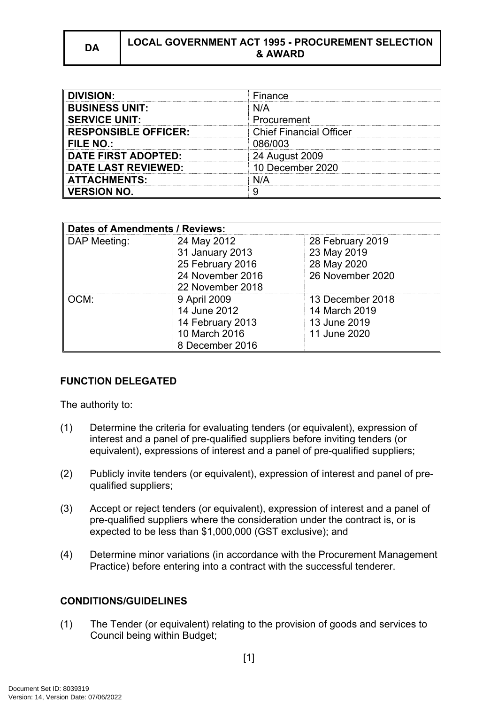# **DA LOCAL GOVERNMENT ACT 1995 - PROCUREMENT SELECTION & AWARD**

| <b>DIVISION:</b>            | Finance                        |
|-----------------------------|--------------------------------|
| <b>BUSINESS UNIT:</b>       | N/A                            |
| <b>SERVICE UNIT:</b>        | Procurement                    |
| <b>RESPONSIBLE OFFICER:</b> | <b>Chief Financial Officer</b> |
| <b>FILE NO.:</b>            | 086/003                        |
| <b>DATE FIRST ADOPTED:</b>  | 24 August 2009                 |
| <b>DATE LAST REVIEWED:</b>  | 10 December 2020               |
| <b>ATTACHMENTS:</b>         | N/A                            |
| <b>VERSION NO.</b>          |                                |

| <b>Dates of Amendments / Reviews:</b> |                  |                  |
|---------------------------------------|------------------|------------------|
| DAP Meeting:                          | 24 May 2012      | 28 February 2019 |
|                                       | 31 January 2013  | 23 May 2019      |
|                                       | 25 February 2016 | 28 May 2020      |
|                                       | 24 November 2016 | 26 November 2020 |
|                                       | 22 November 2018 |                  |
| OCM:                                  | 9 April 2009     | 13 December 2018 |
|                                       | 14 June 2012     | 14 March 2019    |
|                                       | 14 February 2013 | 13 June 2019     |
|                                       | 10 March 2016    | 11 June 2020     |
|                                       | 8 December 2016  |                  |

# **FUNCTION DELEGATED**

The authority to:

- (1) Determine the criteria for evaluating tenders (or equivalent), expression of interest and a panel of pre-qualified suppliers before inviting tenders (or equivalent), expressions of interest and a panel of pre-qualified suppliers;
- (2) Publicly invite tenders (or equivalent), expression of interest and panel of prequalified suppliers;
- (3) Accept or reject tenders (or equivalent), expression of interest and a panel of pre-qualified suppliers where the consideration under the contract is, or is expected to be less than \$1,000,000 (GST exclusive); and
- (4) Determine minor variations (in accordance with the Procurement Management Practice) before entering into a contract with the successful tenderer.

# **CONDITIONS/GUIDELINES**

(1) The Tender (or equivalent) relating to the provision of goods and services to Council being within Budget;